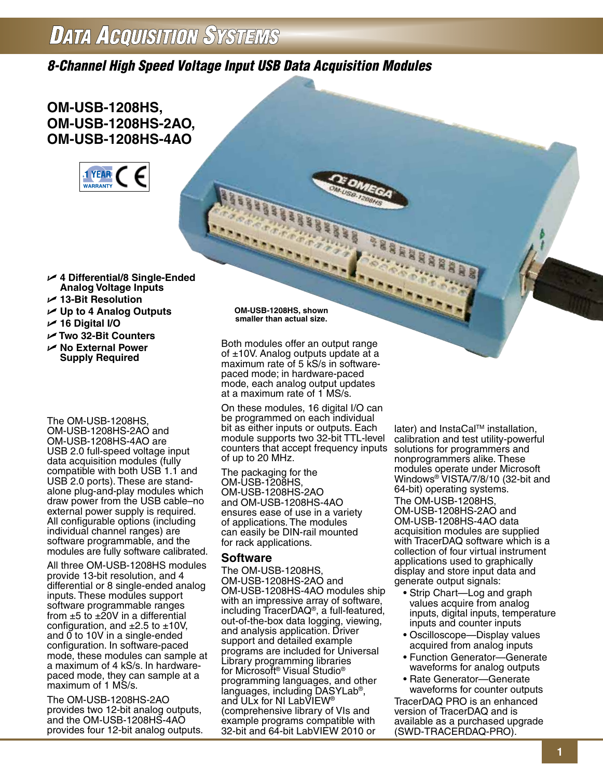# **DATA ACQUISITION SYSTEMS**

*8-Channel High Speed Voltage Input USB Data Acquisition Modules*

# **OM-USB-1208HS, OM-USB-1208HS-2AO, OM-USB-1208HS-4AO**



- U **4 Differential/8 Single-Ended Analog Voltage Inputs**
- U **13-Bit Resolution**
- U **Up to 4 Analog Outputs**
- U **16 Digital I/O**
- U **Two 32-Bit Counters**
- U **No External Power Supply Required**

The OM-USB-1208HS, OM-USB-1208HS-2AO and OM-USB-1208HS-4AO are USB 2.0 full-speed voltage input data acquisition modules (fully compatible with both USB 1.1 and USB 2.0 ports). These are standalone plug-and-play modules which draw power from the USB cable–no external power supply is required. All configurable options (including individual channel ranges) are software programmable, and the modules are fully software calibrated.

All three OM-USB-1208HS modules provide 13-bit resolution, and 4 differential or 8 single-ended analog inputs. These modules support software programmable ranges from  $\pm 5$  to  $\pm 20V$  in a differential configuration, and  $\pm 2.5$  to  $\pm 10$ V, and 0 to 10V in a single-ended configuration. In software-paced mode, these modules can sample at a maximum of 4 kS/s. In hardwarepaced mode, they can sample at a maximum of 1 MS/s.

The OM-USB-1208HS-2AO provides two 12-bit analog outputs, and the OM-USB-1208HS-4AO provides four 12-bit analog outputs. **OM-USB-1208HS, shown smaller than actual size.**

Both modules offer an output range of  $±10V$ . Analog outputs update at a maximum rate of 5 kS/s in softwarepaced mode; in hardware-paced mode, each analog output updates at a maximum rate of 1 MS/s.

On these modules, 16 digital I/O can be programmed on each individual bit as either inputs or outputs. Each module supports two 32-bit TTL-level counters that accept frequency inputs of up to 20 MHz.

The packaging for the OM-USB-1208HS, OM-USB-1208HS-2AO and OM-USB-1208HS-4AO ensures ease of use in a variety of applications. The modules can easily be DIN-rail mounted for rack applications.

## **Software**

The OM-USB-1208HS, OM-USB-1208HS-2AO and OM-USB-1208HS-4AO modules ship with an impressive array of software, including TracerDAQ®, a full-featured, out-of-the-box data logging, viewing, and analysis application. Driver support and detailed example programs are included for Universal Library programming libraries for Microsoft® Visual Studio® programming languages, and other languages, including DASYLab®, and ULx for NI LabVIEW® (comprehensive library of VIs and example programs compatible with 32-bit and 64-bit LabVIEW 2010 or

later) and InstaCal™ installation, calibration and test utility-powerful solutions for programmers and nonprogrammers alike. These modules operate under Microsoft Windows® VISTA/7/8/10 (32-bit and 64-bit) operating systems. The OM-USB-1208HS, OM-USB-1208HS-2AO and OM-USB-1208HS-4AO data acquisition modules are supplied with TracerDAQ software which is a collection of four virtual instrument applications used to graphically display and store input data and generate output signals:

- Strip Chart—Log and graph values acquire from analog inputs, digital inputs, temperature inputs and counter inputs
- Oscilloscope—Display values acquired from analog inputs
- Function Generator—Generate waveforms for analog outputs
- Rate Generator—Generate waveforms for counter outputs

TracerDAQ PRO is an enhanced version of TracerDAQ and is available as a purchased upgrade (SWD-TRACERDAQ-PRO).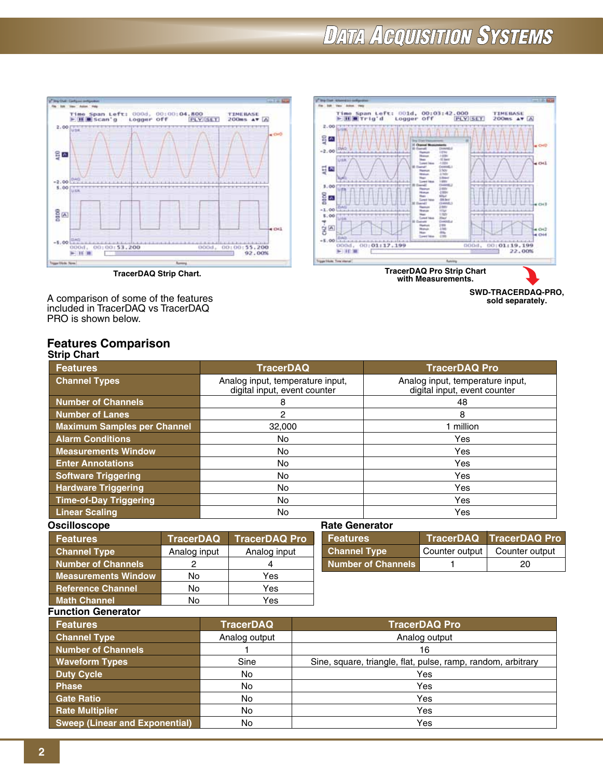# **DATA ACQUISITION SYSTEMS**





**SWD-TRACERDAQ-PRO, sold separately.**

A comparison of some of the features included in TracerDAQ vs TracerDAQ PRO is shown below.

#### **Strip Chart Features Comparison**

| יווייט עוויט                       |                                                                  |                                                                  |
|------------------------------------|------------------------------------------------------------------|------------------------------------------------------------------|
| <b>Features</b>                    | <b>TracerDAQ</b>                                                 | <b>TracerDAQ Pro</b>                                             |
| <b>Channel Types</b>               | Analog input, temperature input,<br>digital input, event counter | Analog input, temperature input,<br>digital input, event counter |
| <b>Number of Channels</b>          | 8                                                                | 48                                                               |
| <b>Number of Lanes</b>             | 2                                                                | 8                                                                |
| <b>Maximum Samples per Channel</b> | 32,000                                                           | 1 million                                                        |
| <b>Alarm Conditions</b>            | No.                                                              | Yes                                                              |
| <b>Measurements Window</b>         | No.                                                              | Yes                                                              |
| <b>Enter Annotations</b>           | No.                                                              | Yes                                                              |
| <b>Software Triggering</b>         | No.                                                              | Yes                                                              |
| <b>Hardware Triggering</b>         | No.                                                              | Yes                                                              |
| <b>Time-of-Day Triggering</b>      | No.                                                              | <b>Yes</b>                                                       |
| <b>Linear Scaling</b>              | No.                                                              | Yes                                                              |

| Oscilloscope    |  |
|-----------------|--|
| <b>Features</b> |  |

| <b>Features</b>            | TracerDAQ <sup>®</sup> | <b>TracerDAQ Pro</b> |
|----------------------------|------------------------|----------------------|
| <b>Channel Type</b>        | Analog input           | Analog input         |
| <b>Number of Channels</b>  |                        |                      |
| <b>Measurements Window</b> | No                     | Yes                  |
| <b>Reference Channel</b>   | No                     | Yes                  |
| <b>Math Channel</b>        | N٥                     | Yes                  |

| <b>Rate Generator</b>     |                |                         |
|---------------------------|----------------|-------------------------|
| <b>Features</b>           |                | TracerDAQ TracerDAQ Pro |
| <b>Channel Type</b>       | Counter output | Counter output          |
| <b>Number of Channels</b> |                | 20                      |

## **Function Generator**

| <b>Features</b>                       | <b>TracerDAQ</b> | <b>TracerDAQ Pro</b>                                         |
|---------------------------------------|------------------|--------------------------------------------------------------|
| <b>Channel Type</b>                   | Analog output    | Analog output                                                |
| <b>Number of Channels</b>             |                  | 16                                                           |
| <b>Waveform Types</b>                 | Sine             | Sine, square, triangle, flat, pulse, ramp, random, arbitrary |
| <b>Duty Cycle</b>                     | <b>No</b>        | Yes                                                          |
| <b>Phase</b>                          | No               | Yes                                                          |
| <b>Gate Ratio</b>                     | No.              | Yes                                                          |
| <b>Rate Multiplier</b>                | No.              | Yes                                                          |
| <b>Sweep (Linear and Exponential)</b> | No.              | Yes                                                          |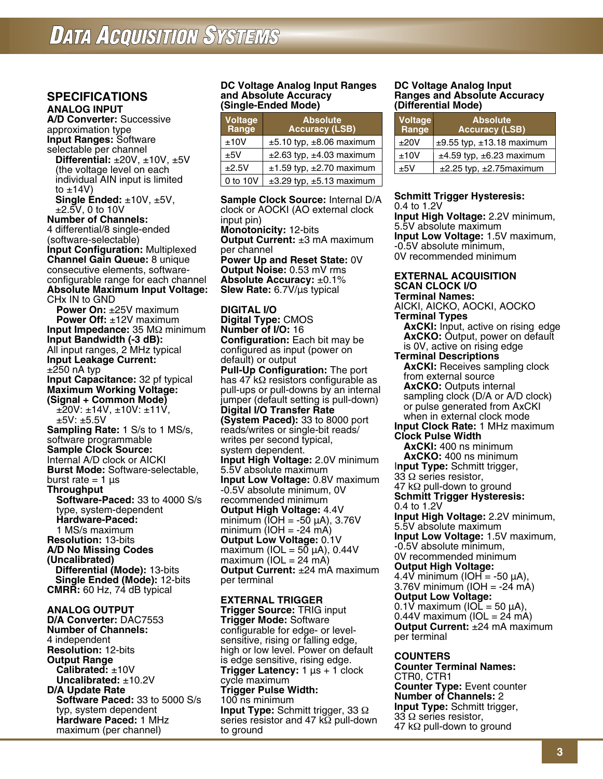# **SPECIFICATIONS**

**Analog INput A/D Converter:** Successive approximation type **Input Ranges:** Software

selectable per channel **Differential:** ±20V, ±10V, ±5V (the voltage level on each individual AIN input is limited to  $\pm$ 14V)

**Single Ended:** ±10V, ±5V, ±2.5V, 0 to 10V

**Number of Channels:**  4 differential/8 single-ended (software-selectable) **Input Configuration:** Multiplexed **Channel Gain Queue:** 8 unique consecutive elements, softwareconfigurable range for each channel **Absolute Maximum Input Voltage:** CHx IN to GND **Power On:** ±25V maximum **Power Off:** ±12V maximum **Input Impedance:** 35 MΩ minimum **Input Bandwidth (-3 dB):** All input ranges, 2 MHz typical **Input Leakage Current:**  $±250$  nA typ **Input Capacitance:** 32 pf typical **Maximum Working Voltage: (Signal + Common Mode)**   $\pm$ 20V:  $\pm$ 14V,  $\pm$ 10V:  $\pm$ 11V, ±5V: ±5.5V **Sampling Rate:** 1 S/s to 1 MS/s, software programmable **Sample Clock Source:** Internal A/D clock or AICKI **Burst Mode:** Software-selectable, burst rate  $= 1 \mu s$ **Throughput Software-Paced:** 33 to 4000 S/s type, system-dependent  **Hardware-Paced:** 1 MS/s maximum **Resolution:** 13-bits **A/D No Missing Codes (Uncalibrated) Differential (Mode):** 13-bits **Single Ended (Mode):** 12-bits **CMRR:** 60 Hz, 74 dB typical

**Analog Output D/A Converter:** DAC7553

**Number of Channels:** 4 independent **Resolution:** 12-bits **Output Range Calibrated:** ±10V **Uncalibrated:** ±10.2V **D/A Update Rate Software Paced:** 33 to 5000 S/s typ, system dependent  **Hardware Paced:** 1 MHz maximum (per channel)

#### **DC Voltage Analog Input Ranges and Absolute Accuracy (Single-Ended Mode)**

| Voltage<br>Range | <b>Absolute</b><br><b>Accuracy (LSB)</b> |
|------------------|------------------------------------------|
| ±10V             | $\pm$ 5.10 typ, $\pm$ 8.06 maximum       |
| ±5V              | $\pm 2.63$ typ, $\pm 4.03$ maximum       |
| ±2.5V            | $\pm 1.59$ typ, $\pm 2.70$ maximum       |
| 0 to 10V         | $\pm 3.29$ typ, $\pm 5.13$ maximum       |

**Sample Clock Source:** Internal D/A clock or AOCKI (AO external clock input pin) **Monotonicity:** 12-bits **Output Current:** ±3 mA maximum per channel **Power Up and Reset State:** 0V **Output Noise:** 0.53 mV rms **Absolute Accuracy:** ±0.1% **Slew Rate:** 6.7V/µs typical

**Digital I/O Digital Type:** CMOS **Number of I/O:** 16 **Configuration:** Each bit may be configured as input (power on default) or output **Pull-Up Configuration:** The port has 47 kΩ resistors configurable as pull-ups or pull-downs by an internal jumper (default setting is pull-down) **Digital I/O Transfer Rate (System Paced):** 33 to 8000 port reads/writes or single-bit reads/ writes per second typical, system dependent. **Input High Voltage:** 2.0V minimum 5.5V absolute maximum **Input Low Voltage:** 0.8V maximum -0.5V absolute minimum, 0V recommended minimum **Output High Voltage:** 4.4V minimum (IOH = -50 µA), 3.76V minimum (IOH = -24 mA) **Output Low Voltage:** 0.1V maximum (IOL = 50  $\mu$ A), 0.44V maximum ( $IOL = 24$  mA) **Output Current:** ±24 mA maximum per terminal

**External Trigger Trigger Source:** TRIG input **Trigger Mode:** Software configurable for edge- or levelsensitive, rising or falling edge, high or low level. Power on default is edge sensitive, rising edge. **Trigger Latency:** 1 µs + 1 clock cycle maximum **Trigger Pulse Width:** 100 ns minimum **Input Type:** Schmitt trigger, 33 Ω series resistor and 47 kΩ pull-down to ground

#### **DC Voltage Analog Input Ranges and Absolute Accuracy (Differential Mode)**

| Voltage<br>Range | <b>Absolute</b><br><b>Accuracy (LSB)</b> |
|------------------|------------------------------------------|
| ±20V             | $±9.55$ typ, $±13.18$ maximum            |
| ±10V             | $±4.59$ typ, $±6.23$ maximum             |
| +5V              | $\pm 2.25$ typ, $\pm 2.75$ maximum       |

**Schmitt Trigger Hysteresis:** 0.4 to 1.2V

**Input High Voltage:** 2.2V minimum, 5.5V absolute maximum **Input Low Voltage:** 1.5V maximum, -0.5V absolute minimum, 0V recommended minimum

#### **External Acquisition Scan Clock I/O Terminal Names:**

AICKI, AICKO, AOCKI, AOCKO **Terminal Types AxCKI:** Input, active on rising edge **AxCKO:** Output, power on default is 0V, active on rising edge **Terminal Descriptions AxCKI:** Receives sampling clock from external source **AxCKO:** Outputs internal sampling clock (D/A or A/D clock) or pulse generated from AxCKI when in external clock mode **Input Clock Rate:** 1 MHz maximum **Clock Pulse Width AxCKI:** 400 ns minimum **AxCKO:** 400 ns minimum I**nput Type:** Schmitt trigger, 33 Ω series resistor, 47 k $\Omega$  pull-down to ground **Schmitt Trigger Hysteresis:** 0.4 to 1.2V **Input High Voltage:** 2.2V minimum, 5.5V absolute maximum **Input Low Voltage:** 1.5V maximum, -0.5V absolute minimum, 0V recommended minimum **Output High Voltage:** 4.4V minimum (IOH = -50  $\mu$ A), 3.76V minimum (IOH = -24 mA) **Output Low Voltage:** 0.1V maximum ( $IOL = 50 \mu A$ ),  $0.44V$  maximum (IOL = 24 mA) **Output Current:** ±24 mA maximum per terminal

#### **Counters**

**Counter Terminal Names:** CTR0, CTR1 **Counter Type:** Event counter **Number of Channels:** 2 **Input Type:** Schmitt trigger, 33 Ω series resistor, 47 kΩ pull-down to ground